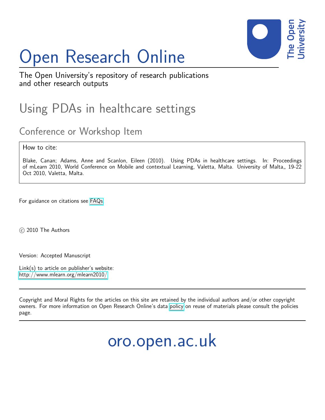

# Open Research Online

The Open University's repository of research publications and other research outputs

# Using PDAs in healthcare settings

## Conference or Workshop Item

How to cite:

Blake, Canan; Adams, Anne and Scanlon, Eileen (2010). Using PDAs in healthcare settings. In: Proceedings of mLearn 2010, World Conference on Mobile and contextual Learning, Valetta, Malta. University of Malta,, 19-22 Oct 2010, Valetta, Malta.

For guidance on citations see [FAQs.](http://oro.open.ac.uk/help/helpfaq.html)

c 2010 The Authors

Version: Accepted Manuscript

Link(s) to article on publisher's website: <http://www.mlearn.org/mlearn2010/>

Copyright and Moral Rights for the articles on this site are retained by the individual authors and/or other copyright owners. For more information on Open Research Online's data [policy](http://oro.open.ac.uk/policies.html) on reuse of materials please consult the policies page.

oro.open.ac.uk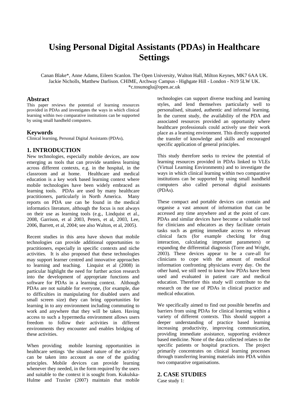### **Using Personal Digital Assistants (PDAs) in Healthcare Settings**

Canan Blake\*, Anne Adams, Eileen Scanlon. The Open University, Walton Hall, Milton Keynes, MK7 6AA UK. Jackie Nicholls, Matthew Darlison. CHIME, Archway Campus - Highgate Hill - London - N19 5LW UK. \*c.tosunoglu@open.ac.uk

#### **Abstract**

This paper reviews the potential of learning resources provided in PDAs and investigates the ways in which clinical learning within two comparative institutions can be supported by using small handheld computers.

#### **Keywords**

Clinical learning, Personal Digital Assistants (PDAs),

#### **1. INTRODUCTION**

New technologies, especially mobile devices, are now emerging as tools that can provide seamless learning across different contexts, e.g. in the hospital, in the classroom and at home. Healthcare and medical education is a key work based learning context where mobile technologies have been widely embraced as learning tools. PDAs are used by many healthcare practitioners, particularly in North America. Many reports on PDA use can be found in the medical informatics literature, although the focus is not always on their use as learning tools (e.g., Lindquist et al., 2008, Garrison, et al 2003, Peters, et al, 2003, Lee, 2006, Barrett, et al, 2004; see also Walton, et al, 2005).

Recent studies in this area have shown that mobile technologies can provide additional opportunities to practitioners, especially in specific contexts and niche activities. It is also proposed that these technologies may support learner centred and innovative approaches to learning and teaching. Linquist et al (2008) in particular highlight the need for further action research into the development of appropriate functions and software for PDAs in a learning context. Although PDAs are not suitable for everyone, (for example, due to difficulties in manipulating for disabled users and small screen size) they can bring opportunities for learning in to any environment including commuting to work and anywhere that they will be taken. Having access to such a hypermedia environment allows users freedom to follow their activities in different environments they encounter and enables bridging of these activities.

When providing mobile learning opportunities in healthcare settings 'the situated nature of the activity' can be taken into account as one of the guiding principles. Mobile devices can provide learning whenever they needed, in the form required by the users and suitable to the context it is sought from. Kukulska-Hulme and Traxler (2007) maintain that mobile

technologies can support diverse teaching and learning styles, and lend themselves particularly well to personalised, situated, authentic and informal learning. In the current study, the availability of the PDA and associated resources provided an opportunity where healthcare professionals could actively use their work place as a learning environment. This directly supported the transfer of knowledge and skills and encouraged specific application of general principles.

This study therefore seeks to review the potential of learning resources provided in PDAs linked to VLEs (Virtual Learning Environments) and to investigate the ways in which clinical learning within two comparative institutions can be supported by using small handheld computers also called personal digital assistants (PDAs).

These compact and portable devices can contain and organise a vast amount of information that can be accessed any time anywhere and at the point of care. PDAs and similar devices have become a valuable tool for clinicians and educators as they facilitate certain tasks such as getting immediate access to relevant clinical facts (for example checking for drug interaction, calculating important parameters) or expanding the differential diagnosis (Torre and Wright, 2003). These devices appear to be a cure-all for clinicians to cope with the amount of medical information confronting physicians every day. On the other hand, we still need to know how PDAs have been used and evaluated in patient care and medical education. Therefore this study will contribute to the research on the use of PDAs in clinical practice and medical education.

We specifically aimed to find out possible benefits and barriers from using PDAs for clinical learning within a variety of different contexts. This should support a deeper understanding of practice based learning increasing productivity, improving communication, providing immediate assistance, supporting evidence based medicine. None of the data collected relates to the specific patients or hospital practices. The project primarily concentrates on clinical learning processes through transferring learning materials into PDA within two comparative organisations.

#### **2. CASE STUDIES**

Case study 1: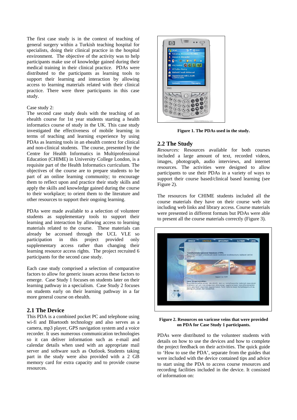The first case study is in the context of teaching of general surgery within a Turkish teaching hospital for specialists, doing their clinical practice in the hospital environment. The objective of the activity was to help participants make use of knowledge gained during their medical training in their clinical practice. PDAs were distributed to the participants as learning tools to support their learning and interaction by allowing access to learning materials related with their clinical practice. There were three participants in this case study.

#### Case study 2:

The second case study deals with the teaching of an ehealth course for 1st year students starting a health informatics course of study in the UK. This case study investigated the effectiveness of mobile learning in terms of teaching and learning experience by using PDAs as learning tools in an ehealth context for clinical and non-clinical students. The course, presented by the Centre for Health Informatics in Multiprofessional Education (CHIME) in University College London, is a requisite part of the Health Informatics curriculum. The objectives of the course are to prepare students to be part of an online learning community; to encourage them to reflect upon and practice their study skills and apply the skills and knowledge gained during the course to their workplace; to orient them to the literature and other resources to support their ongoing learning.

PDAs were made available to a selection of volunteer students as supplementary tools to support their learning and interaction by allowing access to learning materials related to the course. These materials can already be accessed through the UCL VLE so participation in this project provided only supplementary access rather than changing their learning resource access rights. The project recruited 6 participants for the second case study.

Each case study comprised a selection of comparative factors to allow for generic issues across these factors to emerge. Case Study 1 focuses on students later on their learning pathway in a specialism. Case Study 2 focuses on students early on their learning pathway in a far more general course on ehealth.

#### **2.1 The Device**

This PDA is a combined pocket PC and telephone using wi-fi and Bluetooth technology and also serves as a camera, mp3 player, GPS navigation system and a voice recorder. It uses numerous communication technologies so it can deliver information such as e-mail and calendar details when used with an appropriate mail server and software such as Outlook. Students taking part in the study were also provided with a 2 GB memory card for extra capacity and to provide course resources.



**Figure 1. The PDAs used in the study.** 

#### **2.2 The Study**

*Resources:* Resources available for both courses included a large amount of text, recorded videos, images, photograph, audio interviews, and internet resources. The activities were designed to allow participants to use their PDAs in a variety of ways to support their course based/clinical based learning (see Figure 2).

The resources for CHIME students included all the course materials they have on their course web site including web links and library access. Course materials were presented in different formats but PDAs were able to present all the course materials correctly (Figure 3).



**Figure 2. Resources on varicose veins that were provided on PDA for Case Study 1 participants.** 

PDAs were distributed to the volunteer students with details on how to use the devices and how to complete the project feedback on their activities. The quick guide to 'How to use the PDA', separate from the guides that were included with the device contained tips and advice to start using the PDA to access course resources and recording facilities included in the device. It consisted of information on: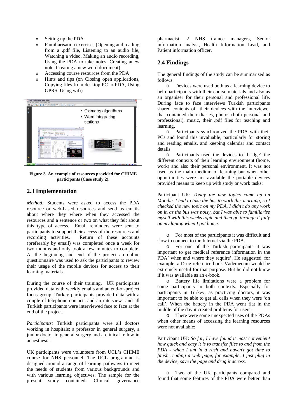- o Setting up the PDA
- o Familiarisation exercises (Opening and reading from a .pdf file, Listening to an audio file, Watching a video, Making an audio recording, Using the PDA to take notes, Creating anew note, Creating a new word document)
- o Accessing course resources from the PDA
- o Hints and tips (on Closing open applications, Copying files from desktop PC to PDA, Using GPRS, Using wifi)



**Figure 3. An example of resources provided for CHIME participants (Case study 2).** 

#### **2.3 Implementation**

*Method:* Students were asked to access the PDA resource or web-based resources and send us emails about where they where when they accessed the resources and a sentence or two on what they felt about this type of access. Email reminders were sent to participants to support their access of the resources and recording activities. Return of these accounts (preferably by email) was completed once a week for two months and only took a few minutes to complete. At the beginning and end of the project an online questionnaire was used to ask the participants to review their usage of the mobile devices for access to their learning materials.

During the course of their training, UK participants provided data with weekly emails and an end-of-project focus group; Turkey participants provided data with a couple of telephone contacts and an interview and all Turkish participants were interviewed face to face at the end of the project.

*Participants:* Turkish participants were all doctors working in hospitals; a professor in general surgery, a junior doctor in general surgery and a clinical fellow in anaesthesia.

UK participants were volunteers from UCL's CHIME course for NHS personnel. The UCL programme is designed around a range of learning pathways to meet the needs of students from various backgrounds and with various learning objectives. The sample for the present study contained: Clinical governance

pharmacist, 2 NHS trainee managers, Senior information analyst, Health Information Lead, and Patient information officer.

#### **2.4 Findings**

The general findings of the study can be summarised as follows:

o Devices were used both as a learning device to help participants with their course materials and also as an organiser for their personal and professional life. During face to face interviews Turkish participants shared contents of their devices with the interviewer that contained their diaries, photos (both personal and professional), music, their .pdf files for teaching and learning.

o Participants synchronized the PDA with their PCs and found this invaluable, particularly for storing and reading emails, and keeping calendar and contact details.

o Participants used the devices to 'bridge' the different contexts of their learning environment (home, work) and also their personal environment. It was not used as the main medium of learning but when other opportunities were not available the portable devices provided means to keep up with study or work tasks:

Participant UK: *Today the new topics came up on Moodle. I had to take the bus to work this morning, so I checked the new topic on my PDA, I didn't do any work on it, as the bus was noisy, but I was able to familiarise myself with this weeks topic and then go through it fully on my laptop when I got home.* 

o For most of the participants it was difficult and slow to connect to the Internet via the PDA.

o For one of the Turkish participants it was important to get medical reference information in the PDA' when and where they require'. He suggested, for example, a Drug reference book Vademecum would be extremely useful for that purpose. But he did not know if it was available as an e-book.

o Battery life limitations were a problem for some participants in both contexts. Especially for participants in Turkey, as practicing doctors, it was important to be able to get all calls when they were 'on call'. When the battery in the PDA went flat in the middle of the day it created problems for users.

o There were some unexpected uses of the PDAs when other means of accessing the learning resources were not available:

Participant UK: *So far, I have found it most convenient how quick and easy it is to transfer files to and from the PDA - when I am in a rush and haven't got time to finish reading a web page, for example, I just plug in the device, save the page and drag it across.* 

o Two of the UK participants compared and found that some features of the PDA were better than